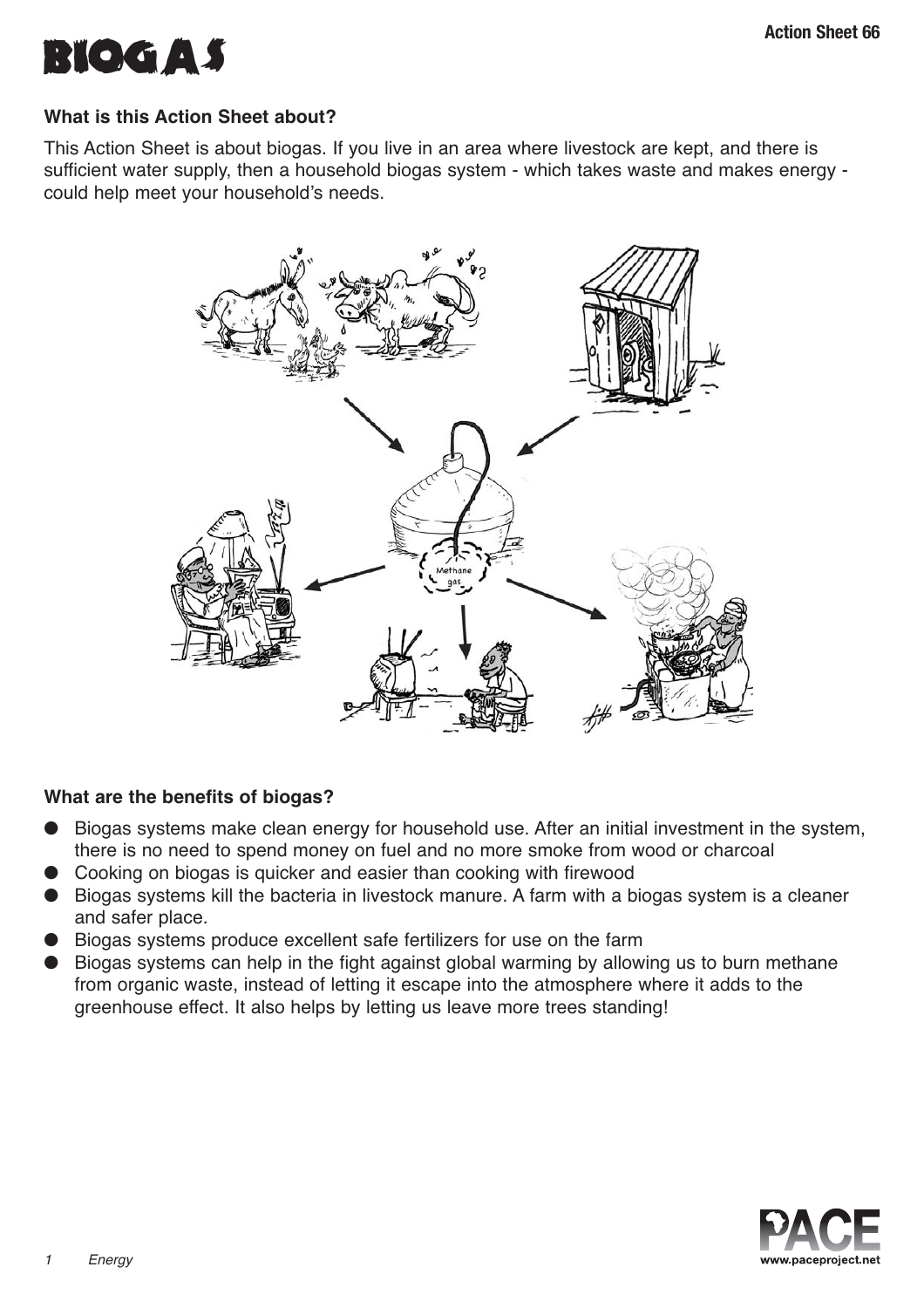

# **What is this Action Sheet about?**

This Action Sheet is about biogas. If you live in an area where livestock are kept, and there is sufficient water supply, then a household biogas system - which takes waste and makes energy could help meet your household's needs.



# **What are the benefits of biogas?**

- Biogas systems make clean energy for household use. After an initial investment in the system, there is no need to spend money on fuel and no more smoke from wood or charcoal
- Cooking on biogas is quicker and easier than cooking with firewood
- Biogas systems kill the bacteria in livestock manure. A farm with a biogas system is a cleaner and safer place.
- Biogas systems produce excellent safe fertilizers for use on the farm
- Biogas systems can help in the fight against global warming by allowing us to burn methane from organic waste, instead of letting it escape into the atmosphere where it adds to the greenhouse effect. It also helps by letting us leave more trees standing!

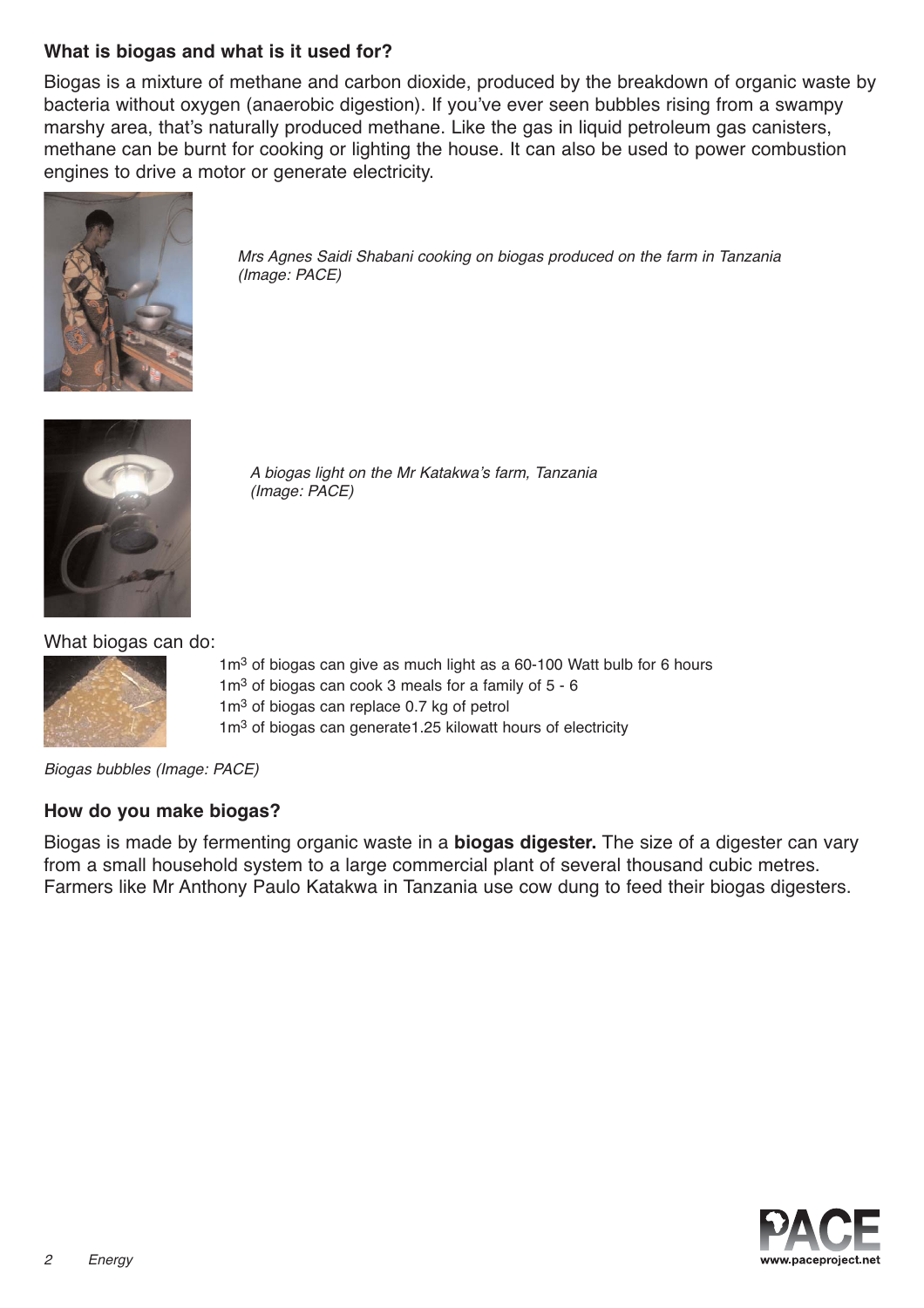# **What is biogas and what is it used for?**

Biogas is a mixture of methane and carbon dioxide, produced by the breakdown of organic waste by bacteria without oxygen (anaerobic digestion). If you've ever seen bubbles rising from a swampy marshy area, that's naturally produced methane. Like the gas in liquid petroleum gas canisters, methane can be burnt for cooking or lighting the house. It can also be used to power combustion engines to drive a motor or generate electricity.



Mrs Agnes Saidi Shabani cooking on biogas produced on the farm in Tanzania (Image: PACE)



A biogas light on the Mr Katakwa's farm, Tanzania (Image: PACE)

What biogas can do:



1m<sup>3</sup> of biogas can give as much light as a 60-100 Watt bulb for 6 hours  $1m<sup>3</sup>$  of biogas can cook 3 meals for a family of  $5 - 6$ 1m<sup>3</sup> of biogas can replace 0.7 kg of petrol  $1m<sup>3</sup>$  of biogas can generate 1.25 kilowatt hours of electricity



## **How do you make biogas?**

Biogas is made by fermenting organic waste in a **biogas digester.** The size of a digester can vary from a small household system to a large commercial plant of several thousand cubic metres. Farmers like Mr Anthony Paulo Katakwa in Tanzania use cow dung to feed their biogas digesters.

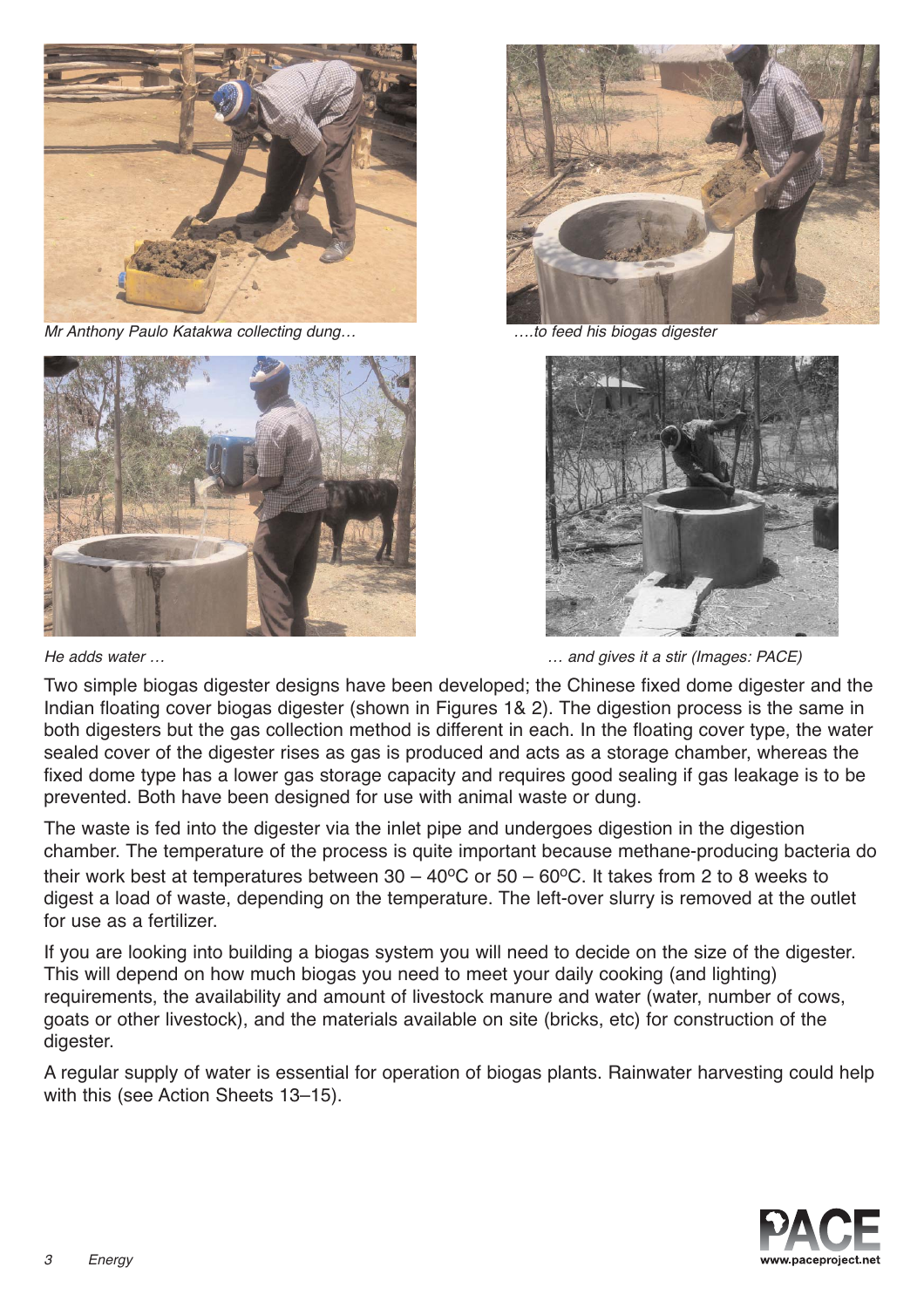

Mr Anthony Paulo Katakwa collecting dung… ….to feed his biogas digester







He adds water ... **He adds** water  $\ldots$  and gives it a stir (Images: PACE)

Two simple biogas digester designs have been developed; the Chinese fixed dome digester and the Indian floating cover biogas digester (shown in Figures 1& 2). The digestion process is the same in both digesters but the gas collection method is different in each. In the floating cover type, the water sealed cover of the digester rises as gas is produced and acts as a storage chamber, whereas the fixed dome type has a lower gas storage capacity and requires good sealing if gas leakage is to be prevented. Both have been designed for use with animal waste or dung.

The waste is fed into the digester via the inlet pipe and undergoes digestion in the digestion chamber. The temperature of the process is quite important because methane-producing bacteria do their work best at temperatures between  $30 - 40^{\circ}$ C or  $50 - 60^{\circ}$ C. It takes from 2 to 8 weeks to digest a load of waste, depending on the temperature. The left-over slurry is removed at the outlet for use as a fertilizer.

If you are looking into building a biogas system you will need to decide on the size of the digester. This will depend on how much biogas you need to meet your daily cooking (and lighting) requirements, the availability and amount of livestock manure and water (water, number of cows, goats or other livestock), and the materials available on site (bricks, etc) for construction of the digester.

A regular supply of water is essential for operation of biogas plants. Rainwater harvesting could help with this (see Action Sheets 13–15).

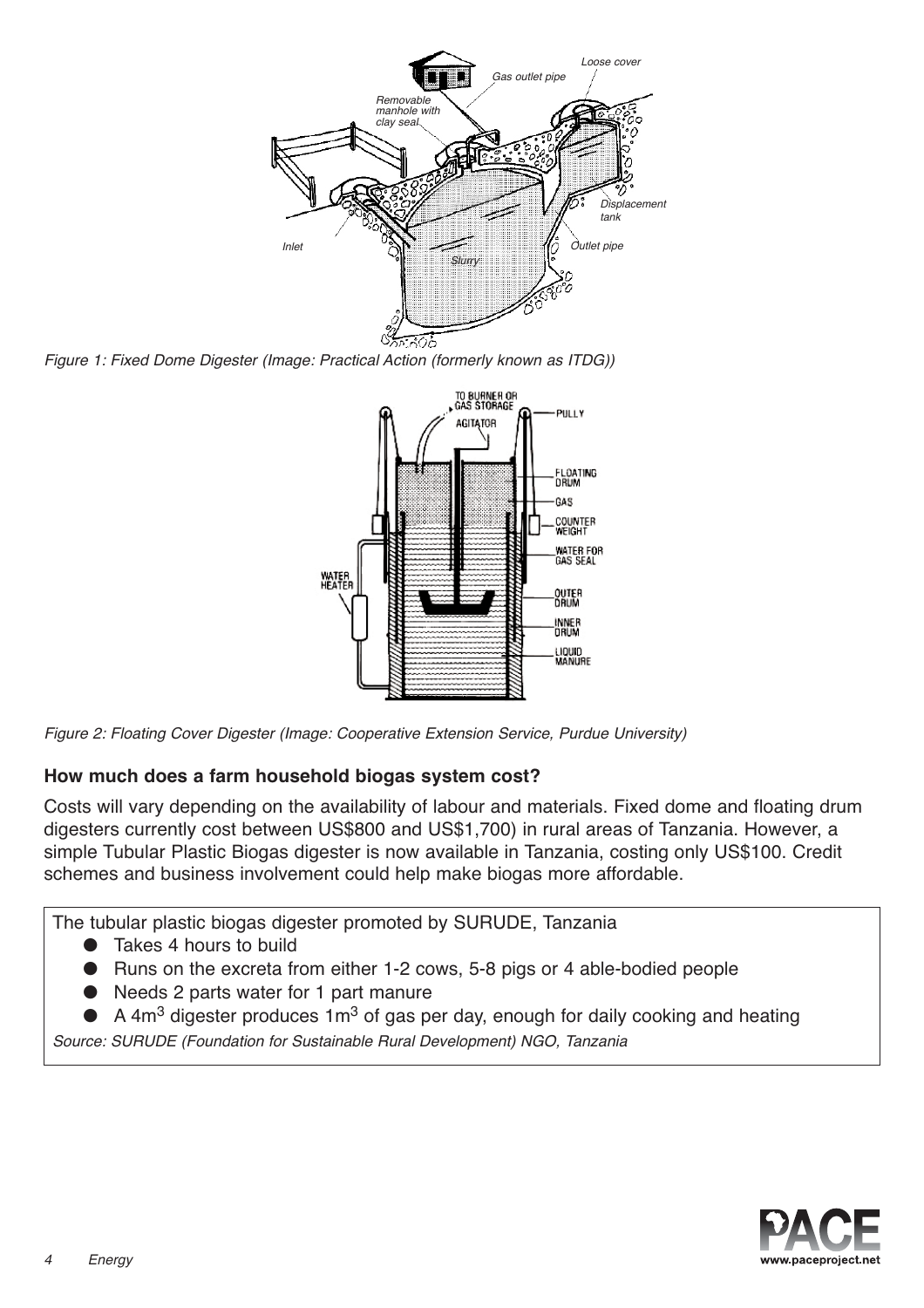

Figure 1: Fixed Dome Digester (Image: Practical Action (formerly known as ITDG))



Figure 2: Floating Cover Digester (Image: Cooperative Extension Service, Purdue University)

# **How much does a farm household biogas system cost?**

Costs will vary depending on the availability of labour and materials. Fixed dome and floating drum digesters currently cost between US\$800 and US\$1,700) in rural areas of Tanzania. However, a simple Tubular Plastic Biogas digester is now available in Tanzania, costing only US\$100. Credit schemes and business involvement could help make biogas more affordable.

The tubular plastic biogas digester promoted by SURUDE, Tanzania

- Takes 4 hours to build
- Runs on the excreta from either 1-2 cows, 5-8 pigs or 4 able-bodied people
- Needs 2 parts water for 1 part manure

A 4 $m<sup>3</sup>$  digester produces 1 $m<sup>3</sup>$  of gas per day, enough for daily cooking and heating

Source: SURUDE (Foundation for Sustainable Rural Development) NGO, Tanzania